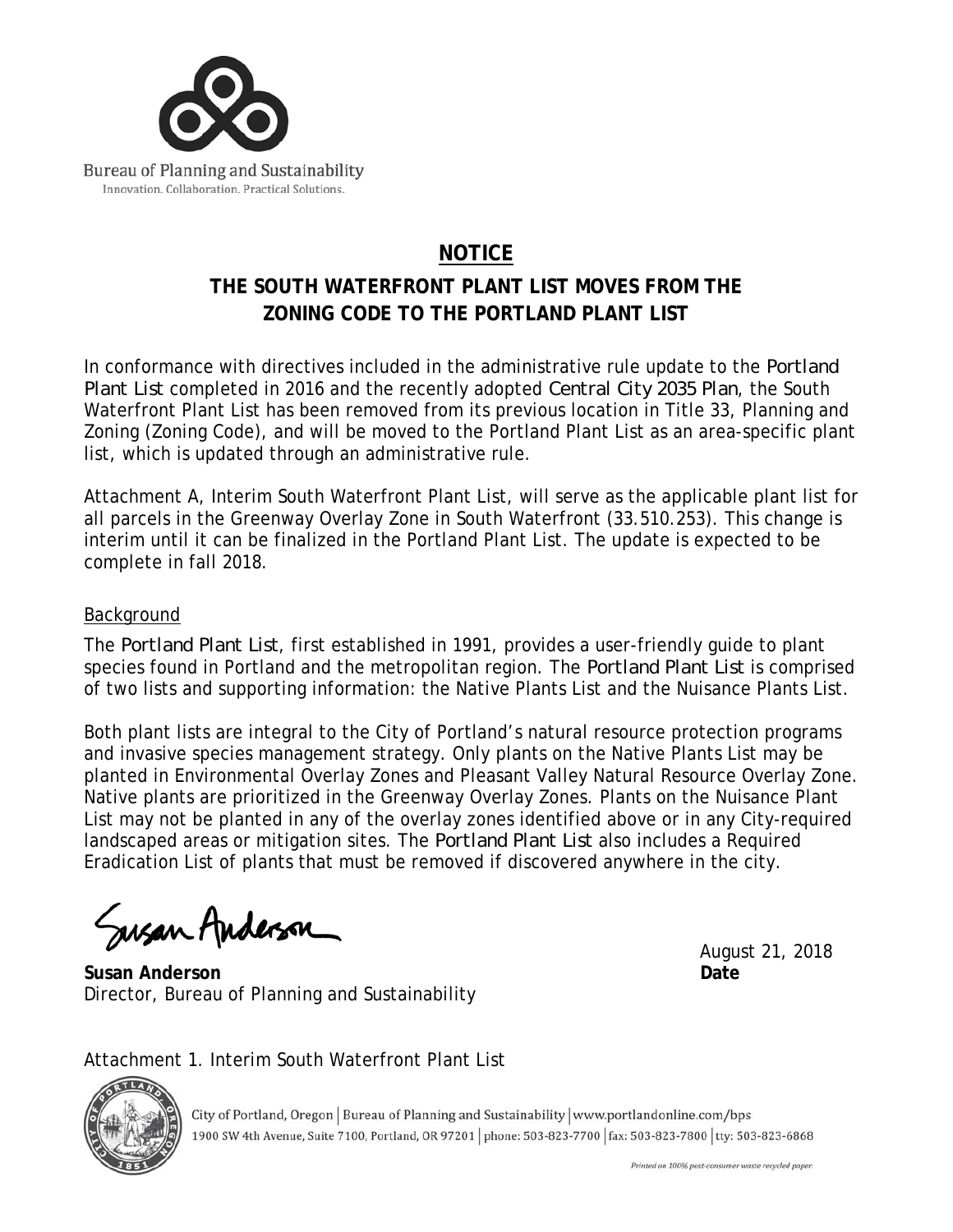

## **NOTICE**

## **THE SOUTH WATERFRONT PLANT LIST MOVES FROM THE ZONING CODE TO THE PORTLAND PLANT LIST**

In conformance with directives included in the administrative rule update to the *Portland Plant List* completed in 2016 and the recently adopted *Central City 2035 Plan*, the South Waterfront Plant List has been removed from its previous location in Title 33, Planning and Zoning (Zoning Code), and will be moved to the Portland Plant List as an area-specific plant list, which is updated through an administrative rule.

Attachment A, Interim South Waterfront Plant List, will serve as the applicable plant list for all parcels in the Greenway Overlay Zone in South Waterfront (33.510.253). This change is interim until it can be finalized in the Portland Plant List. The update is expected to be complete in fall 2018.

## Background

The *Portland Plant List*, first established in 1991, provides a user-friendly guide to plant species found in Portland and the metropolitan region. The *Portland Plant List* is comprised of two lists and supporting information: the Native Plants List and the Nuisance Plants List.

Both plant lists are integral to the City of Portland's natural resource protection programs and invasive species management strategy. Only plants on the Native Plants List may be planted in Environmental Overlay Zones and Pleasant Valley Natural Resource Overlay Zone. Native plants are prioritized in the Greenway Overlay Zones. Plants on the Nuisance Plant List may not be planted in any of the overlay zones identified above or in any City-required landscaped areas or mitigation sites. The *Portland Plant List* also includes a Required Eradication List of plants that must be removed if discovered anywhere in the city.

Susan Anderson

**Susan Anderson Date**  Director, Bureau of Planning and Sustainability

August 21, 2018

Attachment 1. Interim South Waterfront Plant List



City of Portland, Oregon | Bureau of Planning and Sustainability | www.portlandonline.com/bps 1900 SW 4th Avenue, Suite 7100, Portland, OR 97201 | phone: 503-823-7700 | fax: 503-823-7800 | tty: 503-823-6868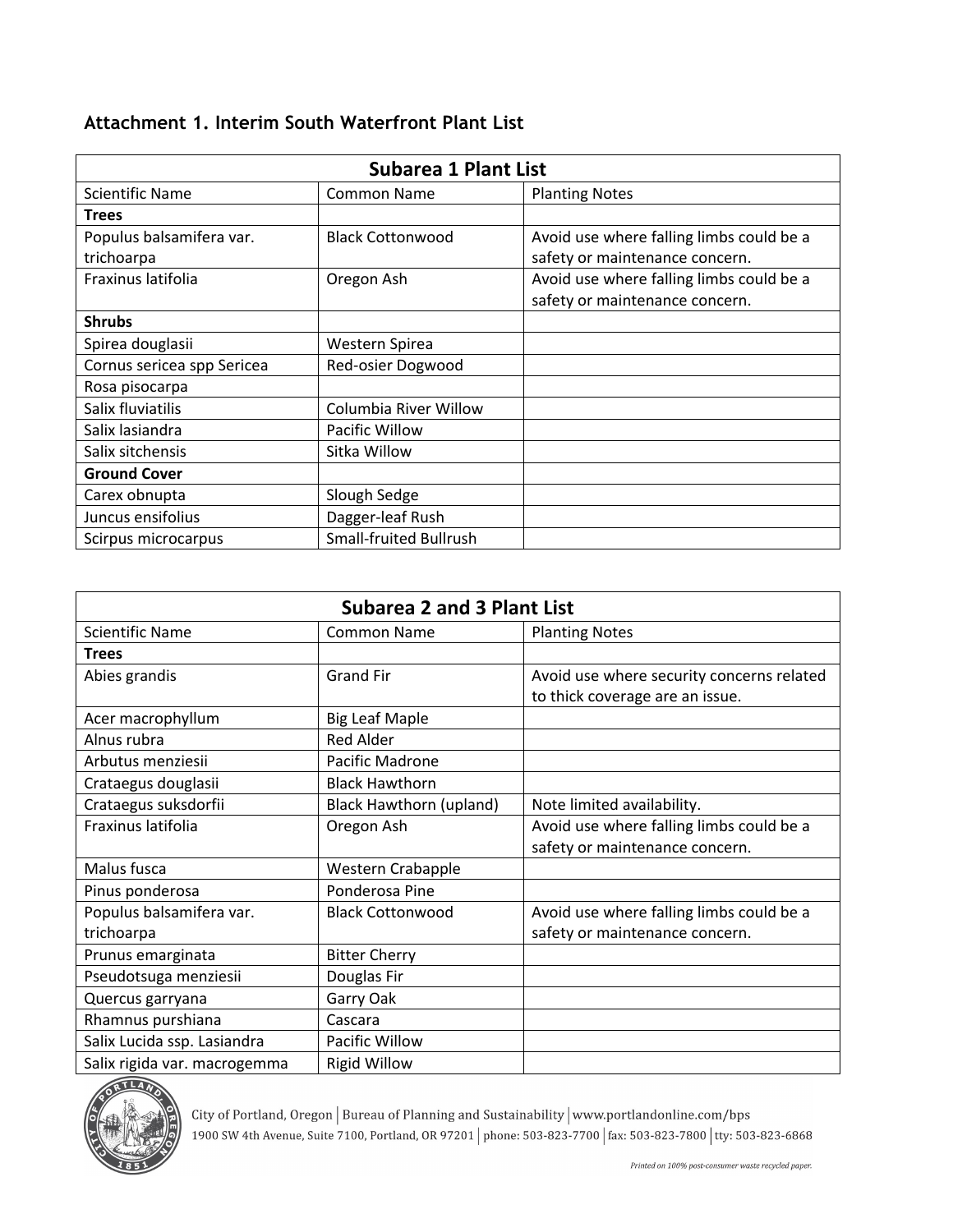## **Attachment 1. Interim South Waterfront Plant List**

| <b>Subarea 1 Plant List</b> |                               |                                          |
|-----------------------------|-------------------------------|------------------------------------------|
| <b>Scientific Name</b>      | <b>Common Name</b>            | <b>Planting Notes</b>                    |
| <b>Trees</b>                |                               |                                          |
| Populus balsamifera var.    | <b>Black Cottonwood</b>       | Avoid use where falling limbs could be a |
| trichoarpa                  |                               | safety or maintenance concern.           |
| Fraxinus latifolia          | Oregon Ash                    | Avoid use where falling limbs could be a |
|                             |                               | safety or maintenance concern.           |
| <b>Shrubs</b>               |                               |                                          |
| Spirea douglasii            | Western Spirea                |                                          |
| Cornus sericea spp Sericea  | Red-osier Dogwood             |                                          |
| Rosa pisocarpa              |                               |                                          |
| Salix fluviatilis           | Columbia River Willow         |                                          |
| Salix lasiandra             | Pacific Willow                |                                          |
| Salix sitchensis            | Sitka Willow                  |                                          |
| <b>Ground Cover</b>         |                               |                                          |
| Carex obnupta               | Slough Sedge                  |                                          |
| Juncus ensifolius           | Dagger-leaf Rush              |                                          |
| Scirpus microcarpus         | <b>Small-fruited Bullrush</b> |                                          |

| <b>Subarea 2 and 3 Plant List</b> |                         |                                           |  |
|-----------------------------------|-------------------------|-------------------------------------------|--|
| <b>Scientific Name</b>            | <b>Common Name</b>      | <b>Planting Notes</b>                     |  |
| <b>Trees</b>                      |                         |                                           |  |
| Abies grandis                     | <b>Grand Fir</b>        | Avoid use where security concerns related |  |
|                                   |                         | to thick coverage are an issue.           |  |
| Acer macrophyllum                 | <b>Big Leaf Maple</b>   |                                           |  |
| Alnus rubra                       | <b>Red Alder</b>        |                                           |  |
| Arbutus menziesii                 | Pacific Madrone         |                                           |  |
| Crataegus douglasii               | <b>Black Hawthorn</b>   |                                           |  |
| Crataegus suksdorfii              | Black Hawthorn (upland) | Note limited availability.                |  |
| Fraxinus latifolia                | Oregon Ash              | Avoid use where falling limbs could be a  |  |
|                                   |                         | safety or maintenance concern.            |  |
| Malus fusca                       | Western Crabapple       |                                           |  |
| Pinus ponderosa                   | Ponderosa Pine          |                                           |  |
| Populus balsamifera var.          | <b>Black Cottonwood</b> | Avoid use where falling limbs could be a  |  |
| trichoarpa                        |                         | safety or maintenance concern.            |  |
| Prunus emarginata                 | <b>Bitter Cherry</b>    |                                           |  |
| Pseudotsuga menziesii             | Douglas Fir             |                                           |  |
| Quercus garryana                  | Garry Oak               |                                           |  |
| Rhamnus purshiana                 | Cascara                 |                                           |  |
| Salix Lucida ssp. Lasiandra       | Pacific Willow          |                                           |  |
| Salix rigida var. macrogemma      | <b>Rigid Willow</b>     |                                           |  |



City of Portland, Oregon | Bureau of Planning and Sustainability | www.portlandonline.com/bps 1900 SW 4th Avenue, Suite 7100, Portland, OR 97201 | phone: 503-823-7700 | fax: 503-823-7800 | tty: 503-823-6868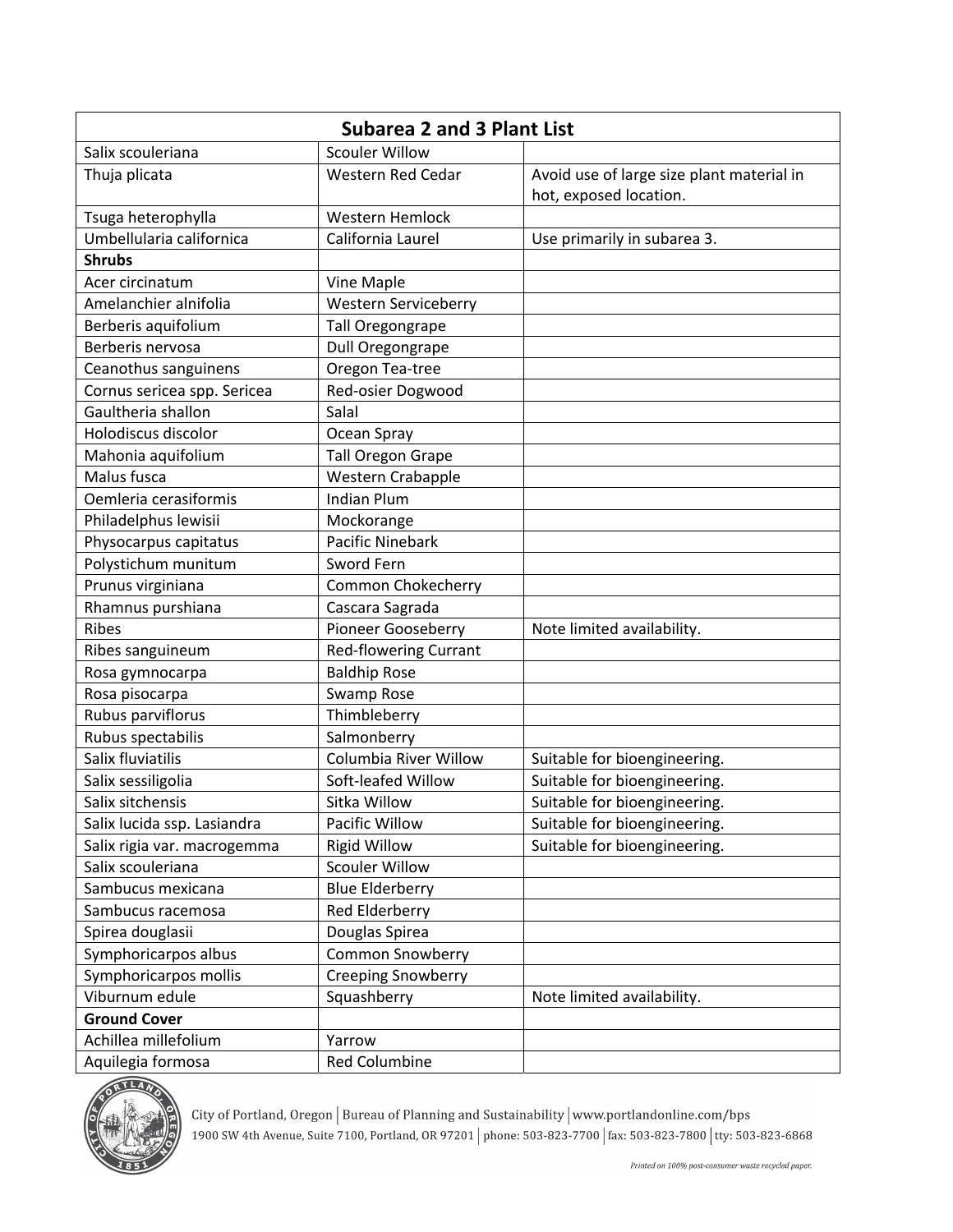| <b>Subarea 2 and 3 Plant List</b> |                              |                                           |
|-----------------------------------|------------------------------|-------------------------------------------|
| Salix scouleriana                 | <b>Scouler Willow</b>        |                                           |
| Thuja plicata                     | Western Red Cedar            | Avoid use of large size plant material in |
|                                   |                              | hot, exposed location.                    |
| Tsuga heterophylla                | Western Hemlock              |                                           |
| Umbellularia californica          | California Laurel            | Use primarily in subarea 3.               |
| <b>Shrubs</b>                     |                              |                                           |
| Acer circinatum                   | Vine Maple                   |                                           |
| Amelanchier alnifolia             | Western Serviceberry         |                                           |
| Berberis aquifolium               | Tall Oregongrape             |                                           |
| Berberis nervosa                  | Dull Oregongrape             |                                           |
| Ceanothus sanguinens              | Oregon Tea-tree              |                                           |
| Cornus sericea spp. Sericea       | Red-osier Dogwood            |                                           |
| Gaultheria shallon                | Salal                        |                                           |
| Holodiscus discolor               | Ocean Spray                  |                                           |
| Mahonia aquifolium                | <b>Tall Oregon Grape</b>     |                                           |
| Malus fusca                       | Western Crabapple            |                                           |
| Oemleria cerasiformis             | <b>Indian Plum</b>           |                                           |
| Philadelphus lewisii              | Mockorange                   |                                           |
| Physocarpus capitatus             | <b>Pacific Ninebark</b>      |                                           |
| Polystichum munitum               | Sword Fern                   |                                           |
| Prunus virginiana                 | <b>Common Chokecherry</b>    |                                           |
| Rhamnus purshiana                 | Cascara Sagrada              |                                           |
| Ribes                             | Pioneer Gooseberry           | Note limited availability.                |
| Ribes sanguineum                  | <b>Red-flowering Currant</b> |                                           |
| Rosa gymnocarpa                   | <b>Baldhip Rose</b>          |                                           |
| Rosa pisocarpa                    | Swamp Rose                   |                                           |
| Rubus parviflorus                 | Thimbleberry                 |                                           |
| Rubus spectabilis                 | Salmonberry                  |                                           |
| Salix fluviatilis                 | Columbia River Willow        | Suitable for bioengineering.              |
| Salix sessiligolia                | Soft-leafed Willow           | Suitable for bioengineering.              |
| Salix sitchensis                  | Sitka Willow                 | Suitable for bioengineering.              |
| Salix lucida ssp. Lasiandra       | Pacific Willow               | Suitable for bioengineering.              |
| Salix rigia var. macrogemma       | <b>Rigid Willow</b>          | Suitable for bioengineering.              |
| Salix scouleriana                 | <b>Scouler Willow</b>        |                                           |
| Sambucus mexicana                 | <b>Blue Elderberry</b>       |                                           |
| Sambucus racemosa                 | Red Elderberry               |                                           |
| Spirea douglasii                  | Douglas Spirea               |                                           |
| Symphoricarpos albus              | <b>Common Snowberry</b>      |                                           |
| Symphoricarpos mollis             | <b>Creeping Snowberry</b>    |                                           |
| Viburnum edule                    | Squashberry                  | Note limited availability.                |
| <b>Ground Cover</b>               |                              |                                           |
| Achillea millefolium              | Yarrow                       |                                           |
| Aquilegia formosa                 | <b>Red Columbine</b>         |                                           |



City of Portland, Oregon | Bureau of Planning and Sustainability | www.portlandonline.com/bps<br>1900 SW 4th Avenue, Suite 7100, Portland, OR 97201 | phone: 503-823-7700 | fax: 503-823-7800 | tty: 503-823-6868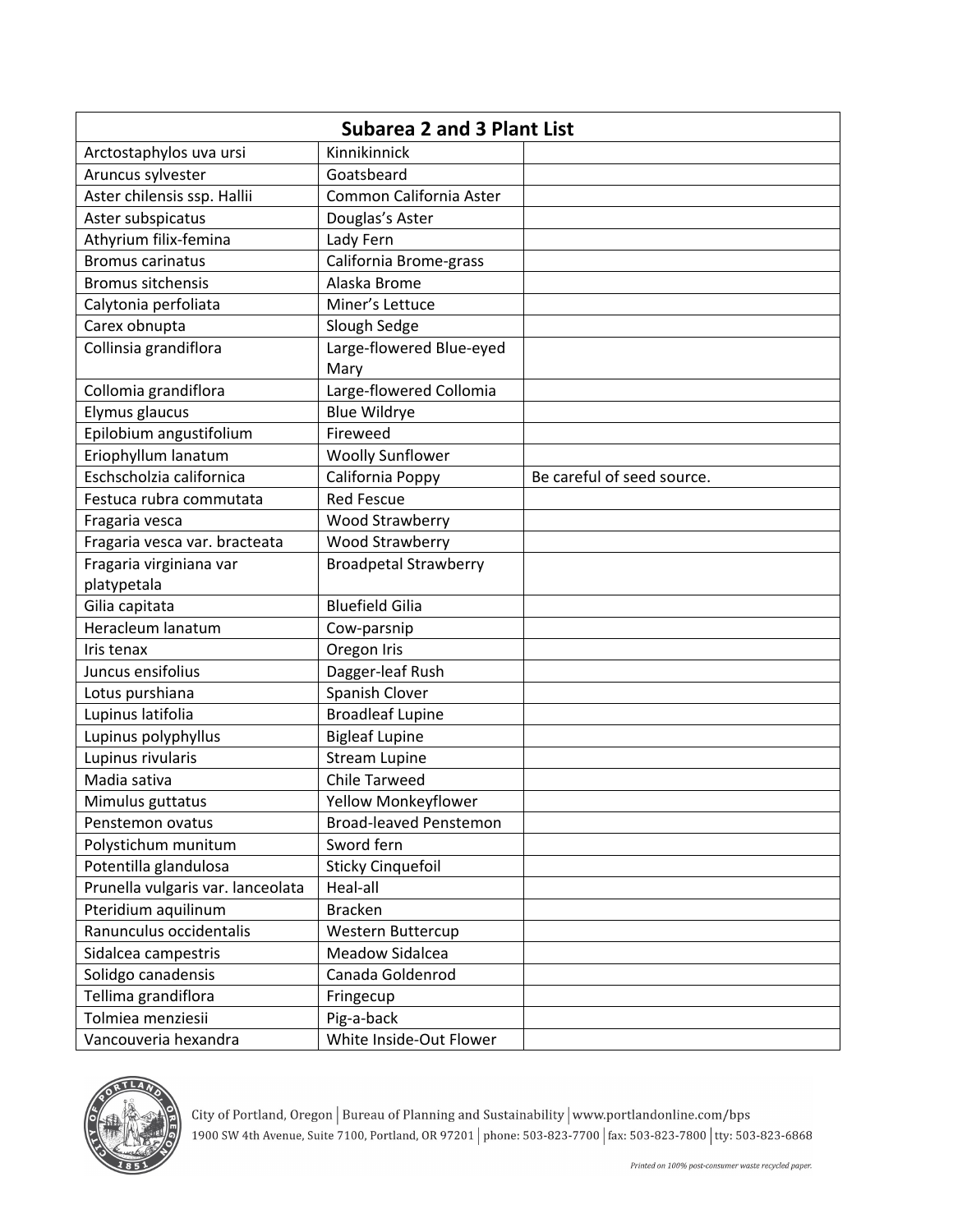| <b>Subarea 2 and 3 Plant List</b> |                                  |                            |
|-----------------------------------|----------------------------------|----------------------------|
| Arctostaphylos uva ursi           | Kinnikinnick                     |                            |
| Aruncus sylvester                 | Goatsbeard                       |                            |
| Aster chilensis ssp. Hallii       | Common California Aster          |                            |
| Aster subspicatus                 | Douglas's Aster                  |                            |
| Athyrium filix-femina             | Lady Fern                        |                            |
| <b>Bromus carinatus</b>           | California Brome-grass           |                            |
| <b>Bromus sitchensis</b>          | Alaska Brome                     |                            |
| Calytonia perfoliata              | Miner's Lettuce                  |                            |
| Carex obnupta                     | Slough Sedge                     |                            |
| Collinsia grandiflora             | Large-flowered Blue-eyed<br>Mary |                            |
| Collomia grandiflora              | Large-flowered Collomia          |                            |
| Elymus glaucus                    | <b>Blue Wildrye</b>              |                            |
| Epilobium angustifolium           | Fireweed                         |                            |
| Eriophyllum lanatum               | <b>Woolly Sunflower</b>          |                            |
| Eschscholzia californica          | California Poppy                 | Be careful of seed source. |
| Festuca rubra commutata           | <b>Red Fescue</b>                |                            |
| Fragaria vesca                    | Wood Strawberry                  |                            |
| Fragaria vesca var. bracteata     | Wood Strawberry                  |                            |
| Fragaria virginiana var           | <b>Broadpetal Strawberry</b>     |                            |
| platypetala                       |                                  |                            |
| Gilia capitata                    | <b>Bluefield Gilia</b>           |                            |
| Heracleum lanatum                 | Cow-parsnip                      |                            |
| Iris tenax                        | Oregon Iris                      |                            |
| Juncus ensifolius                 | Dagger-leaf Rush                 |                            |
| Lotus purshiana                   | Spanish Clover                   |                            |
| Lupinus latifolia                 | <b>Broadleaf Lupine</b>          |                            |
| Lupinus polyphyllus               | <b>Bigleaf Lupine</b>            |                            |
| Lupinus rivularis                 | <b>Stream Lupine</b>             |                            |
| Madia sativa                      | <b>Chile Tarweed</b>             |                            |
| Mimulus guttatus                  | Yellow Monkeyflower              |                            |
| Penstemon ovatus                  | <b>Broad-leaved Penstemon</b>    |                            |
| Polystichum munitum               | Sword fern                       |                            |
| Potentilla glandulosa             | <b>Sticky Cinquefoil</b>         |                            |
| Prunella vulgaris var. lanceolata | Heal-all                         |                            |
| Pteridium aquilinum               | <b>Bracken</b>                   |                            |
| Ranunculus occidentalis           | Western Buttercup                |                            |
| Sidalcea campestris               | Meadow Sidalcea                  |                            |
| Solidgo canadensis                | Canada Goldenrod                 |                            |
| Tellima grandiflora               | Fringecup                        |                            |
| Tolmiea menziesii                 | Pig-a-back                       |                            |
| Vancouveria hexandra              | White Inside-Out Flower          |                            |



City of Portland, Oregon | Bureau of Planning and Sustainability | www.portlandonline.com/bps 1900 SW 4th Avenue, Suite 7100, Portland, OR 97201 | phone: 503-823-7700 | fax: 503-823-7800 | tty: 503-823-6868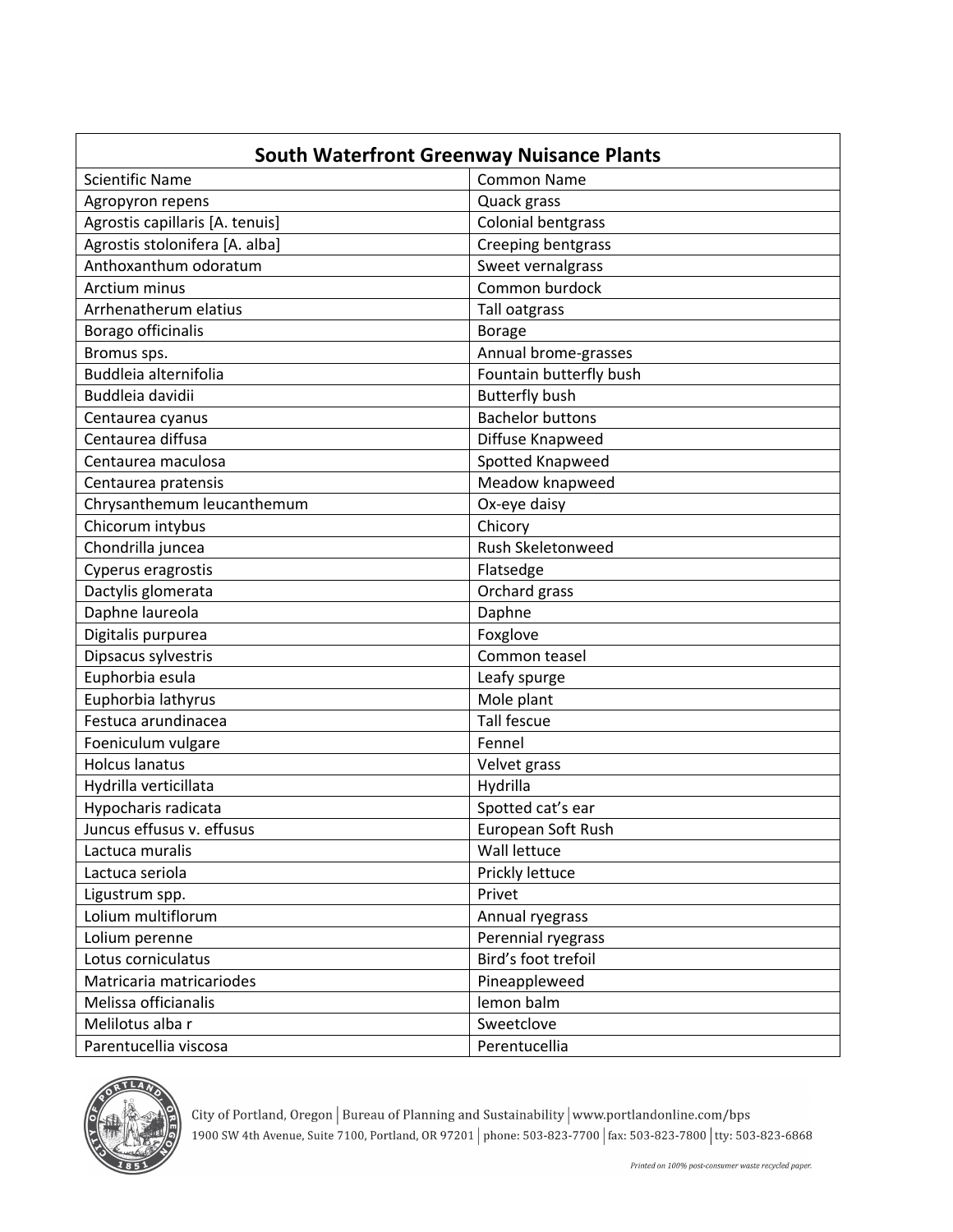| <b>South Waterfront Greenway Nuisance Plants</b> |                           |  |
|--------------------------------------------------|---------------------------|--|
| <b>Scientific Name</b>                           | <b>Common Name</b>        |  |
| Agropyron repens                                 | Quack grass               |  |
| Agrostis capillaris [A. tenuis]                  | <b>Colonial bentgrass</b> |  |
| Agrostis stolonifera [A. alba]                   | Creeping bentgrass        |  |
| Anthoxanthum odoratum                            | Sweet vernalgrass         |  |
| Arctium minus                                    | Common burdock            |  |
| Arrhenatherum elatius                            | Tall oatgrass             |  |
| Borago officinalis                               | <b>Borage</b>             |  |
| Bromus sps.                                      | Annual brome-grasses      |  |
| Buddleia alternifolia                            | Fountain butterfly bush   |  |
| Buddleia davidii                                 | <b>Butterfly bush</b>     |  |
| Centaurea cyanus                                 | <b>Bachelor buttons</b>   |  |
| Centaurea diffusa                                | Diffuse Knapweed          |  |
| Centaurea maculosa                               | Spotted Knapweed          |  |
| Centaurea pratensis                              | Meadow knapweed           |  |
| Chrysanthemum leucanthemum                       | Ox-eye daisy              |  |
| Chicorum intybus                                 | Chicory                   |  |
| Chondrilla juncea                                | Rush Skeletonweed         |  |
| Cyperus eragrostis                               | Flatsedge                 |  |
| Dactylis glomerata                               | Orchard grass             |  |
| Daphne laureola                                  | Daphne                    |  |
| Digitalis purpurea                               | Foxglove                  |  |
| Dipsacus sylvestris                              | Common teasel             |  |
| Euphorbia esula                                  | Leafy spurge              |  |
| Euphorbia lathyrus                               | Mole plant                |  |
| Festuca arundinacea                              | <b>Tall fescue</b>        |  |
| Foeniculum vulgare                               | Fennel                    |  |
| <b>Holcus lanatus</b>                            | Velvet grass              |  |
| Hydrilla verticillata                            | Hydrilla                  |  |
| Hypocharis radicata                              | Spotted cat's ear         |  |
| Juncus effusus v. effusus                        | European Soft Rush        |  |
| Lactuca muralis                                  | Wall lettuce              |  |
| Lactuca seriola                                  | Prickly lettuce           |  |
| Ligustrum spp.                                   | Privet                    |  |
| Lolium multiflorum                               | Annual ryegrass           |  |
| Lolium perenne                                   | Perennial ryegrass        |  |
| Lotus corniculatus                               | Bird's foot trefoil       |  |
| Matricaria matricariodes                         | Pineappleweed             |  |
| Melissa officianalis                             | lemon balm                |  |
| Melilotus alba r                                 | Sweetclove                |  |
| Parentucellia viscosa                            | Perentucellia             |  |



City of Portland, Oregon | Bureau of Planning and Sustainability | www.portlandonline.com/bps<br>1900 SW 4th Avenue, Suite 7100, Portland, OR 97201 | phone: 503-823-7700 | fax: 503-823-7800 | tty: 503-823-6868